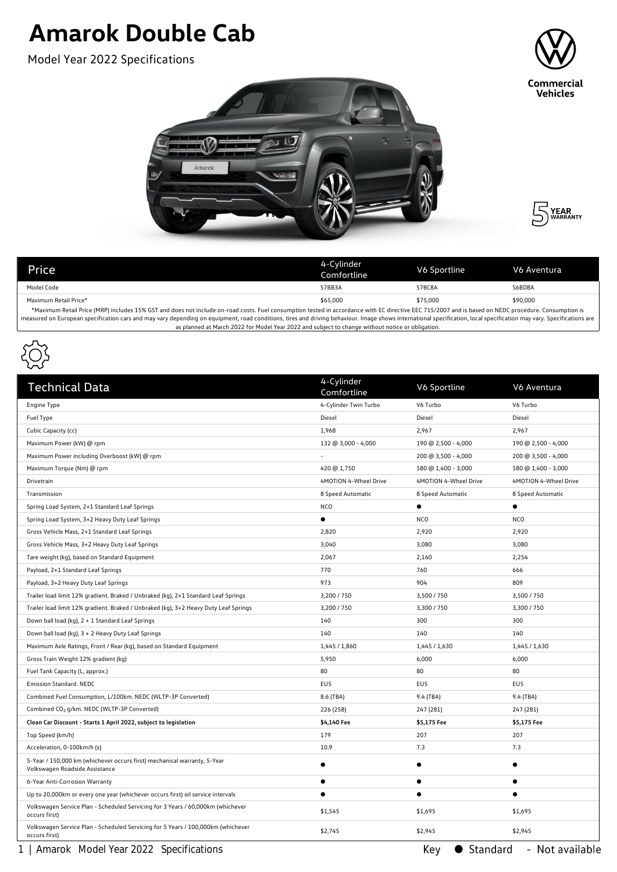## **Amarok Double Cab**

Model Year 2022 Specifications







| Price                                                                                                                                                                                                | 4-Cylinder<br>Comfortline | V6 Sportline | V6 Aventura |  |  |
|------------------------------------------------------------------------------------------------------------------------------------------------------------------------------------------------------|---------------------------|--------------|-------------|--|--|
| Model Code                                                                                                                                                                                           | S7BB3A                    | S7BC8A       | S6BD8A      |  |  |
| Maximum Retail Price*                                                                                                                                                                                | \$65,000                  | \$75,000     | \$90,000    |  |  |
| *Maximum Retail Price (MPP) includes 15% GST and does not include on-road costs. Fuel consumption tested in accordance with FC directive FEC 715/2007 and is based on NEDC procedure. Consumption is |                           |              |             |  |  |

\*Maximum Retail Price (MRP) includes 15% GST and does not include on-road costs. Fuel consumption tested in accordance with EC directive EEC 715/2007 and is based on NEDC procedure. Consumption is measured on European specification cars and may vary depending on equipment, road conditions, tires and driving behaviour. Image shows international specification, local specification may vary. Specifications are as planned at March 2022 for Model Year 2022 and subject to change without notice or obligation.



| <b>Technical Data</b>                                                                                      | 4-Cylinder<br>Comfortline | V6 Sportline          | V6 Aventura           |
|------------------------------------------------------------------------------------------------------------|---------------------------|-----------------------|-----------------------|
| Engine Type                                                                                                | 4-Cylinder Twin Turbo     | V6 Turbo              | V6 Turbo              |
| Fuel Type                                                                                                  | Diesel                    | Diesel                | Diesel                |
| Cubic Capacity (cc)                                                                                        | 1,968                     | 2,967                 | 2,967                 |
| Maximum Power (kW) @ rpm                                                                                   | 132 @ 3,000 - 4,000       | 190 @ 2,500 - 4,000   | 190 @ 2,500 - 4,000   |
| Maximum Power including Overboost (kW) @ rpm                                                               |                           | 200 @ 3,500 - 4,000   | 200 @ 3,500 - 4,000   |
| Maximum Torque (Nm) @ rpm                                                                                  | 420 @ 1,750               | 580 @ 1,400 - 3,000   | 580 @ 1,400 - 3,000   |
| Drivetrain                                                                                                 | 4MOTION 4-Wheel Drive     | 4MOTION 4-Wheel Drive | 4MOTION 4-Wheel Drive |
| Transmission                                                                                               | 8 Speed Automatic         | 8 Speed Automatic     | 8 Speed Automatic     |
| Spring Load System, 2+1 Standard Leaf Springs                                                              | <b>NCO</b>                | $\bullet$             | ٠                     |
| Spring Load System, 3+2 Heavy Duty Leaf Springs                                                            | $\bullet$                 | <b>NCO</b>            | <b>NCO</b>            |
| Gross Vehicle Mass, 2+1 Standard Leaf Springs                                                              | 2,820                     | 2,920                 | 2,920                 |
| Gross Vehicle Mass, 3+2 Heavy Duty Leaf Springs                                                            | 3,040                     | 3,080                 | 3,080                 |
| Tare weight (kg), based on Standard Equipment                                                              | 2,067                     | 2,160                 | 2,254                 |
| Payload, 2+1 Standard Leaf Springs                                                                         | 770                       | 760                   | 666                   |
| Payload, 3+2 Heavy Duty Leaf Springs                                                                       | 973                       | 904                   | 809                   |
| Trailer load limit 12% gradient. Braked / Unbraked (kg), 2+1 Standard Leaf Springs                         | 3,200 / 750               | 3,500 / 750           | 3,500 / 750           |
| Trailer load limit 12% gradient. Braked / Unbraked (kg), 3+2 Heavy Duty Leaf Springs                       | 3,200 / 750               | 3,300 / 750           | 3,300 / 750           |
| Down ball load (kg), 2 + 1 Standard Leaf Springs                                                           | 140                       | 300                   | 300                   |
| Down ball load (kg), 3 + 2 Heavy Duty Leaf Springs                                                         | 140                       | 140                   | 140                   |
| Maximum Axle Ratings, Front / Rear (kg), based on Standard Equipment                                       | 1,445 / 1,860             | 1,445 / 1,630         | 1,445 / 1,630         |
| Gross Train Weight 12% gradient (kg)                                                                       | 5,950                     | 6,000                 | 6,000                 |
| Fuel Tank Capacity (L, approx.)                                                                            | 80                        | 80                    | 80                    |
| Emission Standard. NEDC                                                                                    | EU5                       | EU <sub>5</sub>       | EU5                   |
| Combined Fuel Consumption, L/100km. NEDC (WLTP-3P Converted)                                               | 8.6 (TBA)                 | 9.4 (TBA)             | 9.4 (TBA)             |
| Combined CO <sub>2</sub> g/km. NEDC (WLTP-3P Converted)                                                    | 226 (258)                 | 247 (281)             | 247 (281)             |
| Clean Car Discount - Starts 1 April 2022, subject to legislation                                           | \$4,140 Fee               | \$5,175 Fee           | \$5,175 Fee           |
| Top Speed (km/h)                                                                                           | 179                       | 207                   | 207                   |
| Acceleration, 0-100km/h (s)                                                                                | 10.9                      | 7.3                   | 7.3                   |
| 5-Year / 150,000 km (whichever occurs first) mechanical warranty, 5-Year<br>Volkswagen Roadside Assistance | $\bullet$                 | $\bullet$             | $\bullet$             |
| 6-Year Anti-Corrosion Warranty                                                                             | $\bullet$                 | $\bullet$             | $\bullet$             |
| Up to 20,000km or every one year (whichever occurs first) oil service intervals                            | $\bullet$                 | $\bullet$             | $\bullet$             |
| Volkswagen Service Plan - Scheduled Servicing for 3 Years / 60,000km (whichever<br>occurs first)           | \$1,545                   | \$1,695               | \$1,695               |
| Volkswagen Service Plan - Scheduled Servicing for 5 Years / 100,000km (whichever<br>occurs first)          | \$2,745                   | \$2,945               | \$2,945               |

1 | Amarok Model Year 2022 Specifications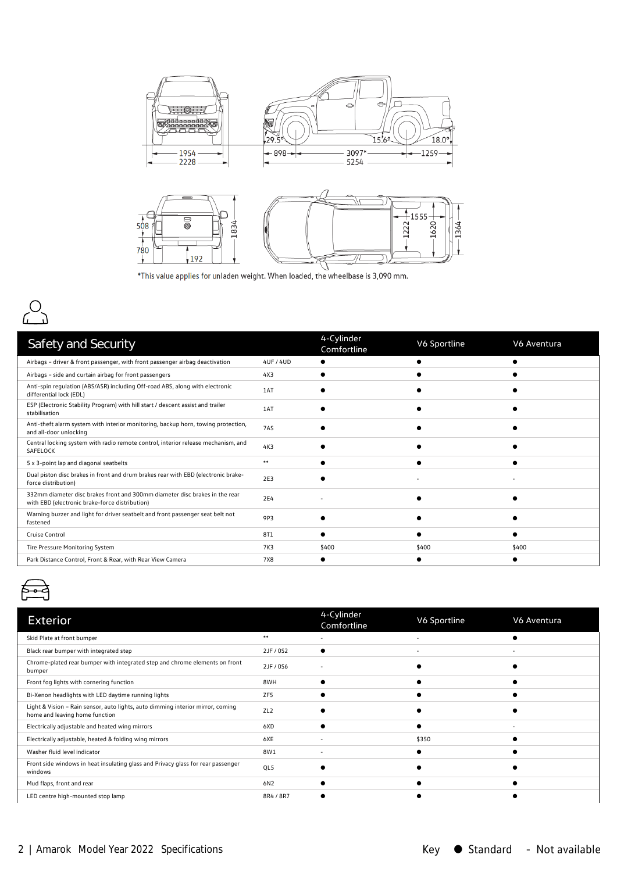

\*This value applies for unladen weight. When loaded, the wheelbase is 3,090 mm.



| Safety and Security                                                                                                           |           | 4-Cylinder<br>Comfortline | V6 Sportline | V6 Aventura |
|-------------------------------------------------------------------------------------------------------------------------------|-----------|---------------------------|--------------|-------------|
| Airbags - driver & front passenger, with front passenger airbag deactivation                                                  | 4UF / 4UD |                           |              |             |
| Airbags - side and curtain airbag for front passengers                                                                        | 4X3       |                           |              |             |
| Anti-spin regulation (ABS/ASR) including Off-road ABS, along with electronic<br>differential lock (EDL)                       | 1AT       |                           |              |             |
| ESP (Electronic Stability Program) with hill start / descent assist and trailer<br>stabilisation                              | 1AT       |                           |              |             |
| Anti-theft alarm system with interior monitoring, backup horn, towing protection,<br>and all-door unlocking                   | 7AS       |                           |              |             |
| Central locking system with radio remote control, interior release mechanism, and<br>SAFELOCK                                 | 4K3       |                           |              |             |
| 5 x 3-point lap and diagonal seatbelts                                                                                        | $***$     |                           |              |             |
| Dual piston disc brakes in front and drum brakes rear with EBD (electronic brake-<br>force distribution)                      | 2E3       |                           |              |             |
| 332mm diameter disc brakes front and 300mm diameter disc brakes in the rear<br>with EBD (electronic brake-force distribution) | 2E4       |                           |              |             |
| Warning buzzer and light for driver seatbelt and front passenger seat belt not<br>fastened                                    | 9P3       |                           |              |             |
| Cruise Control                                                                                                                | 8T1       |                           |              |             |
| Tire Pressure Monitoring System                                                                                               | 7K3       | \$400                     | \$400        | \$400       |
| Park Distance Control, Front & Rear, with Rear View Camera                                                                    | 7X8       |                           |              |             |



| <b>Exterior</b>                                                                                                   |                 | 4-Cylinder<br>Comfortline | V6 Sportline             | V6 Aventura              |
|-------------------------------------------------------------------------------------------------------------------|-----------------|---------------------------|--------------------------|--------------------------|
| Skid Plate at front bumper                                                                                        | $***$           |                           |                          |                          |
| Black rear bumper with integrated step                                                                            | 2JF / 0S2       |                           | $\overline{\phantom{a}}$ | $\overline{\phantom{a}}$ |
| Chrome-plated rear bumper with integrated step and chrome elements on front<br>bumper                             | 2JF / 0S6       | ٠                         |                          |                          |
| Front fog lights with cornering function                                                                          | 8WH             |                           |                          |                          |
| Bi-Xenon headlights with LED daytime running lights                                                               | ZF <sub>5</sub> |                           |                          |                          |
| Light & Vision - Rain sensor, auto lights, auto dimming interior mirror, coming<br>home and leaving home function | ZL <sub>2</sub> |                           |                          |                          |
| Electrically adjustable and heated wing mirrors                                                                   | 6XD             |                           |                          |                          |
| Electrically adjustable, heated & folding wing mirrors                                                            | 6XE             |                           | \$350                    |                          |
| Washer fluid level indicator                                                                                      | 8W1             |                           |                          |                          |
| Front side windows in heat insulating glass and Privacy glass for rear passenger<br>windows                       | QL5             |                           |                          |                          |
| Mud flaps, front and rear                                                                                         | 6N2             |                           |                          |                          |
| LED centre high-mounted stop lamp                                                                                 | 8R4 / 8R7       |                           |                          |                          |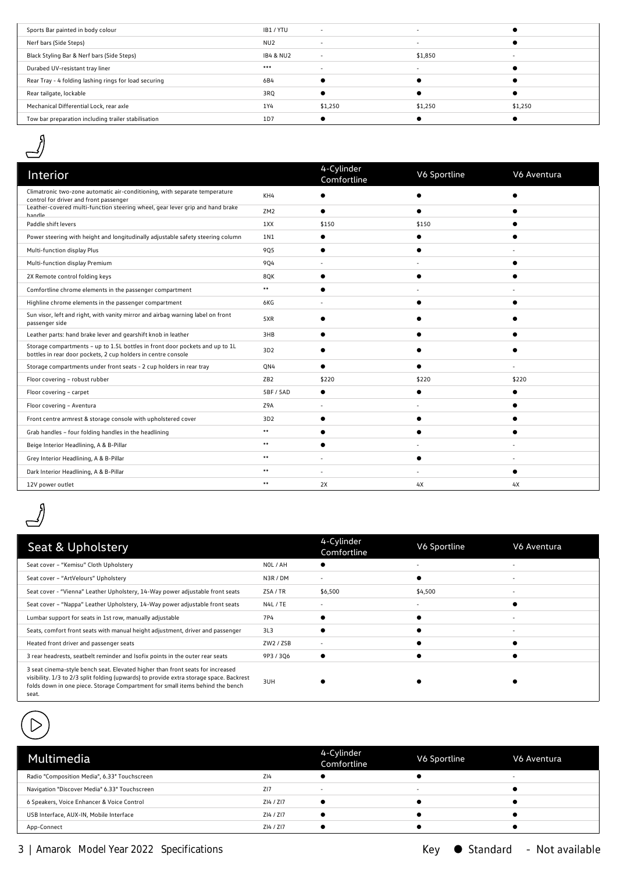| Sports Bar painted in body colour                     | IB1/YTU              | $\sim$                   | $\overline{\phantom{a}}$ |         |
|-------------------------------------------------------|----------------------|--------------------------|--------------------------|---------|
| Nerf bars (Side Steps)                                | NU <sub>2</sub>      | $\overline{\phantom{a}}$ | $\overline{\phantom{0}}$ |         |
| Black Styling Bar & Nerf bars (Side Steps)            | <b>IB4 &amp; NU2</b> | $\overline{\phantom{a}}$ | \$1,850                  |         |
| Durabed UV-resistant tray liner                       | $***$                | -                        | $\overline{\phantom{0}}$ |         |
| Rear Tray - 4 folding lashing rings for load securing | 6B4                  |                          |                          |         |
| Rear tailgate, lockable                               | 3RQ                  |                          |                          |         |
| Mechanical Differential Lock, rear axle               | 1Y4                  | \$1,250                  | \$1,250                  | \$1,250 |
| Tow bar preparation including trailer stabilisation   | 1D7                  |                          |                          |         |
|                                                       |                      |                          |                          |         |



| Interior                                                                                                                                      |                 | 4-Cylinder<br>Comfortline | V6 Sportline | V6 Aventura |
|-----------------------------------------------------------------------------------------------------------------------------------------------|-----------------|---------------------------|--------------|-------------|
| Climatronic two-zone automatic air-conditioning, with separate temperature<br>control for driver and front passenger                          | KH4             |                           |              |             |
| Leather-covered multi-function steering wheel, gear lever grip and hand brake<br>handle                                                       | ZM <sub>2</sub> |                           |              |             |
| Paddle shift levers                                                                                                                           | 1XX             | \$150                     | \$150        |             |
| Power steering with height and longitudinally adjustable safety steering column                                                               | 1N1             |                           |              |             |
| Multi-function display Plus                                                                                                                   | 9Q5             |                           |              |             |
| Multi-function display Premium                                                                                                                | <b>9Q4</b>      |                           |              |             |
| 2X Remote control folding keys                                                                                                                | 8QK             |                           | €            |             |
| Comfortline chrome elements in the passenger compartment                                                                                      | **              |                           |              |             |
| Highline chrome elements in the passenger compartment                                                                                         | 6KG             |                           |              |             |
| Sun visor, left and right, with vanity mirror and airbag warning label on front<br>passenger side                                             | 5XR             |                           |              |             |
| Leather parts: hand brake lever and gearshift knob in leather                                                                                 | 3HB             |                           |              |             |
| Storage compartments - up to 1.5L bottles in front door pockets and up to 1L<br>bottles in rear door pockets, 2 cup holders in centre console | 3D2             |                           |              |             |
| Storage compartments under front seats - 2 cup holders in rear tray                                                                           | QN4             |                           |              |             |
| Floor covering - robust rubber                                                                                                                | ZB <sub>2</sub> | \$220                     | \$220        | \$220       |
| Floor covering - carpet                                                                                                                       | 5BF / 5AD       |                           |              |             |
| Floor covering - Aventura                                                                                                                     | Z9A             |                           |              |             |
| Front centre armrest & storage console with upholstered cover                                                                                 | 3D <sub>2</sub> |                           |              |             |
| Grab handles - four folding handles in the headlining                                                                                         | **              |                           |              |             |
| Beige Interior Headlining, A & B-Pillar                                                                                                       | **              |                           |              |             |
| Grey Interior Headlining, A & B-Pillar                                                                                                        | **              |                           |              |             |
| Dark Interior Headlining, A & B-Pillar                                                                                                        | **              |                           |              |             |
| 12V power outlet                                                                                                                              | **              | 2X                        | 4X           | 4X          |



| Seat & Upholstery                                                                                                                                                                                                                                                   |                 | 4-Cylinder<br>Comfortline | V6 Sportline | V6 Aventura |
|---------------------------------------------------------------------------------------------------------------------------------------------------------------------------------------------------------------------------------------------------------------------|-----------------|---------------------------|--------------|-------------|
| Seat cover - "Kemisu" Cloth Upholstery                                                                                                                                                                                                                              | NOL / AH        |                           |              |             |
| Seat cover - "ArtVelours" Upholstery                                                                                                                                                                                                                                | N3R/DM          | $\overline{\phantom{0}}$  |              |             |
| Seat cover - "Vienna" Leather Upholstery, 14-Way power adjustable front seats                                                                                                                                                                                       | ZSA/TR          | \$6,500                   | \$4,500      |             |
| Seat cover - "Nappa" Leather Upholstery, 14-Way power adjustable front seats                                                                                                                                                                                        | N4L/TE          |                           |              |             |
| Lumbar support for seats in 1st row, manually adjustable                                                                                                                                                                                                            | 7P4             |                           |              |             |
| Seats, comfort front seats with manual height adjustment, driver and passenger                                                                                                                                                                                      | 3L <sub>3</sub> |                           |              |             |
| Heated front driver and passenger seats                                                                                                                                                                                                                             | ZW2 / ZSB       |                           |              |             |
| 3 rear headrests, seatbelt reminder and Isofix points in the outer rear seats                                                                                                                                                                                       | 9P3 / 3Q6       |                           |              |             |
| 3 seat cinema-style bench seat. Elevated higher than front seats for increased<br>visibility. 1/3 to 2/3 split folding (upwards) to provide extra storage space. Backrest<br>folds down in one piece. Storage Compartment for small items behind the bench<br>seat. | 3UH             |                           |              |             |

| Multimedia                                    |           | 4-Cylinder<br>Comfortline | V6 Sportline             | V6 Aventura              |
|-----------------------------------------------|-----------|---------------------------|--------------------------|--------------------------|
| Radio "Composition Media", 6.33" Touchscreen  | ZI4       |                           |                          | $\overline{\phantom{0}}$ |
| Navigation "Discover Media" 6.33" Touchscreen | Z17       | $\overline{\phantom{0}}$  | $\overline{\phantom{a}}$ |                          |
| 6 Speakers, Voice Enhancer & Voice Control    | ZI4 / ZI7 |                           |                          |                          |
| USB Interface, AUX-IN, Mobile Interface       | ZI4 / ZI7 |                           |                          |                          |
| App-Connect                                   | ZI4 / ZI7 |                           |                          |                          |